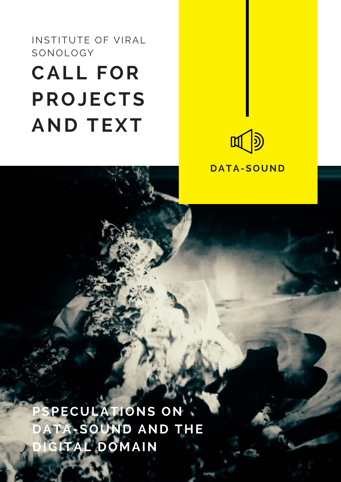## **CALL FOR PROJECTS AND TEXT** INSTITUTE OF VIRAL SONOLOGY

 $\mathbb{I}(\overline{\mathbb{R}})$ 

**DATA-SOUND**

**PSPECULATIONS ON DATA-SOUND AND THE DIGITAL DOMAIN**